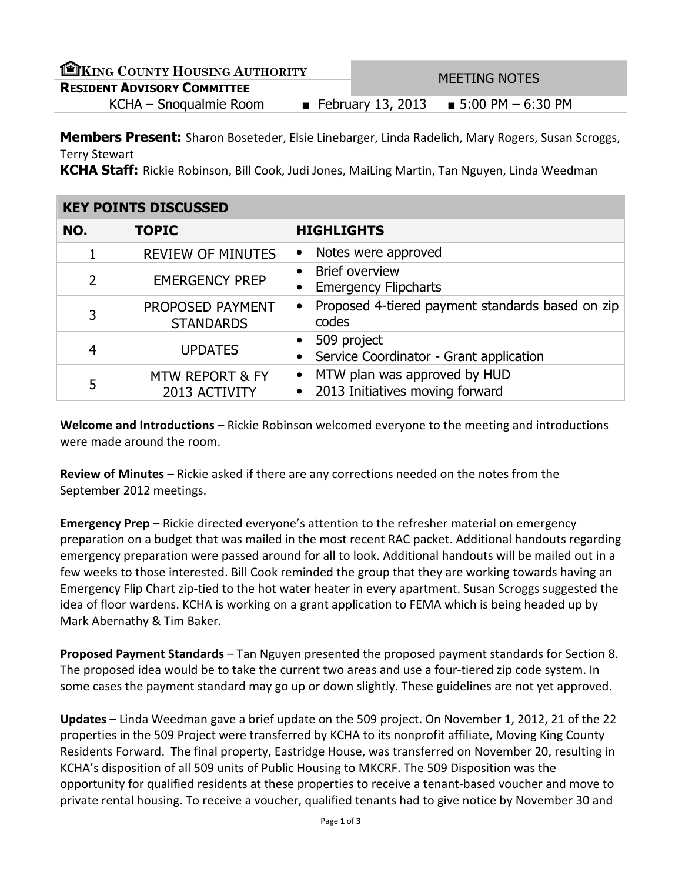| EKING COUNTY HOUSING AUTHORITY     | MEETING NOTES |  |                                          |  |
|------------------------------------|---------------|--|------------------------------------------|--|
| <b>RESIDENT ADVISORY COMMITTEE</b> |               |  |                                          |  |
| KCHA – Snoqualmie Room             |               |  | ■ February 13, 2013 ■ 5:00 PM $-6:30$ PM |  |
|                                    |               |  |                                          |  |

**Members Present:** Sharon Boseteder, Elsie Linebarger, Linda Radelich, Mary Rogers, Susan Scroggs, Terry Stewart

KCHA Staff: Rickie Robinson, Bill Cook, Judi Jones, MaiLing Martin, Tan Nguyen, Linda Weedman

| <b>KEY POINTS DISCUSSED</b> |                                             |                                                                                           |  |  |
|-----------------------------|---------------------------------------------|-------------------------------------------------------------------------------------------|--|--|
| NO.                         | <b>TOPIC</b>                                | <b>HIGHLIGHTS</b>                                                                         |  |  |
|                             | <b>REVIEW OF MINUTES</b>                    | Notes were approved<br>٠                                                                  |  |  |
| $\overline{2}$              | <b>EMERGENCY PREP</b>                       | <b>Brief overview</b><br><b>Emergency Flipcharts</b><br>$\bullet$                         |  |  |
| 3                           | PROPOSED PAYMENT<br><b>STANDARDS</b>        | Proposed 4-tiered payment standards based on zip<br>$\bullet$<br>codes                    |  |  |
| $\overline{4}$              | <b>UPDATES</b>                              | 509 project<br>$\bullet$<br>Service Coordinator - Grant application                       |  |  |
| 5                           | <b>MTW REPORT &amp; FY</b><br>2013 ACTIVITY | MTW plan was approved by HUD<br>$\bullet$<br>2013 Initiatives moving forward<br>$\bullet$ |  |  |

Welcome and Introductions – Rickie Robinson welcomed everyone to the meeting and introductions were made around the room.

Review of Minutes - Rickie asked if there are any corrections needed on the notes from the September 2012 meetings.

Emergency Prep – Rickie directed everyone's attention to the refresher material on emergency preparation on a budget that was mailed in the most recent RAC packet. Additional handouts regarding emergency preparation were passed around for all to look. Additional handouts will be mailed out in a few weeks to those interested. Bill Cook reminded the group that they are working towards having an Emergency Flip Chart zip-tied to the hot water heater in every apartment. Susan Scroggs suggested the idea of floor wardens. KCHA is working on a grant application to FEMA which is being headed up by Mark Abernathy & Tim Baker.

Proposed Payment Standards – Tan Nguyen presented the proposed payment standards for Section 8. The proposed idea would be to take the current two areas and use a four-tiered zip code system. In some cases the payment standard may go up or down slightly. These guidelines are not yet approved.

Updates – Linda Weedman gave a brief update on the 509 project. On November 1, 2012, 21 of the 22 properties in the 509 Project were transferred by KCHA to its nonprofit affiliate, Moving King County Residents Forward. The final property, Eastridge House, was transferred on November 20, resulting in KCHA's disposition of all 509 units of Public Housing to MKCRF. The 509 Disposition was the opportunity for qualified residents at these properties to receive a tenant-based voucher and move to private rental housing. To receive a voucher, qualified tenants had to give notice by November 30 and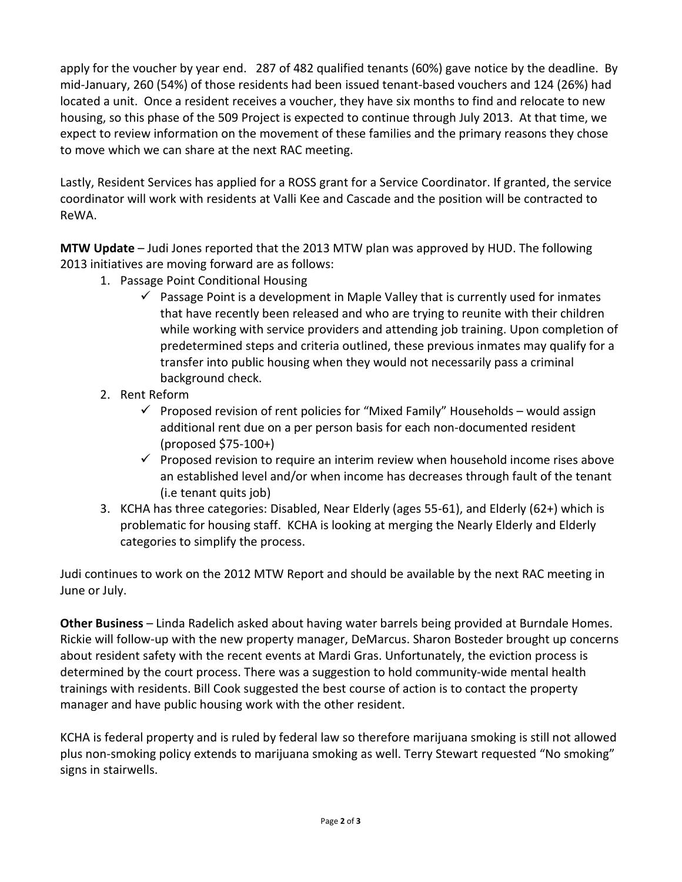apply for the voucher by year end. 287 of 482 qualified tenants (60%) gave notice by the deadline. By mid-January, 260 (54%) of those residents had been issued tenant-based vouchers and 124 (26%) had located a unit. Once a resident receives a voucher, they have six months to find and relocate to new housing, so this phase of the 509 Project is expected to continue through July 2013. At that time, we expect to review information on the movement of these families and the primary reasons they chose to move which we can share at the next RAC meeting.

Lastly, Resident Services has applied for a ROSS grant for a Service Coordinator. If granted, the service coordinator will work with residents at Valli Kee and Cascade and the position will be contracted to ReWA.

MTW Update – Judi Jones reported that the 2013 MTW plan was approved by HUD. The following 2013 initiatives are moving forward are as follows:

- 1. Passage Point Conditional Housing
	- $\checkmark$  Passage Point is a development in Maple Valley that is currently used for inmates that have recently been released and who are trying to reunite with their children while working with service providers and attending job training. Upon completion of predetermined steps and criteria outlined, these previous inmates may qualify for a transfer into public housing when they would not necessarily pass a criminal background check.
- 2. Rent Reform
	- $\checkmark$  Proposed revision of rent policies for "Mixed Family" Households would assign additional rent due on a per person basis for each non-documented resident (proposed \$75-100+)
	- $\checkmark$  Proposed revision to require an interim review when household income rises above an established level and/or when income has decreases through fault of the tenant (i.e tenant quits job)
- 3. KCHA has three categories: Disabled, Near Elderly (ages 55-61), and Elderly (62+) which is problematic for housing staff. KCHA is looking at merging the Nearly Elderly and Elderly categories to simplify the process.

Judi continues to work on the 2012 MTW Report and should be available by the next RAC meeting in June or July.

Other Business – Linda Radelich asked about having water barrels being provided at Burndale Homes. Rickie will follow-up with the new property manager, DeMarcus. Sharon Bosteder brought up concerns about resident safety with the recent events at Mardi Gras. Unfortunately, the eviction process is determined by the court process. There was a suggestion to hold community-wide mental health trainings with residents. Bill Cook suggested the best course of action is to contact the property manager and have public housing work with the other resident.

KCHA is federal property and is ruled by federal law so therefore marijuana smoking is still not allowed plus non-smoking policy extends to marijuana smoking as well. Terry Stewart requested "No smoking" signs in stairwells.